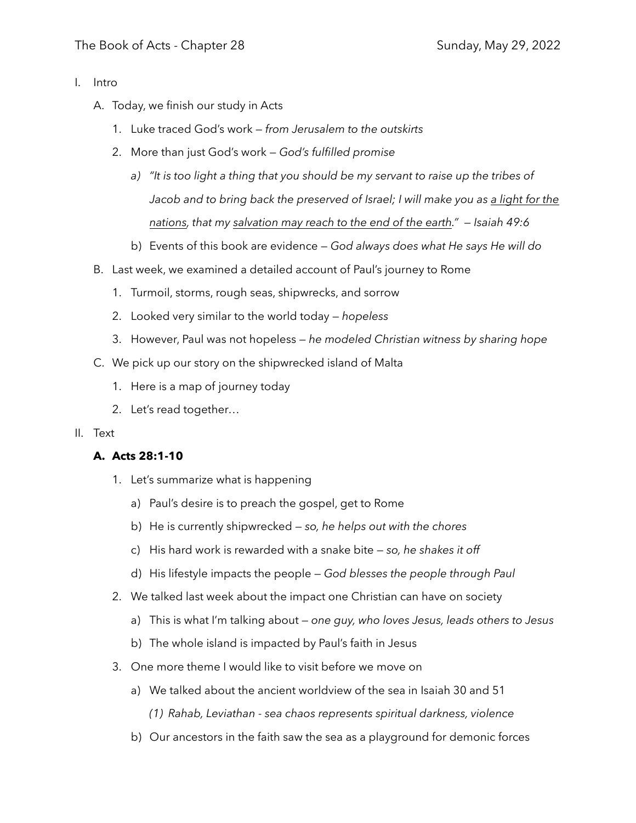- I. Intro
	- A. Today, we finish our study in Acts
		- 1. Luke traced God's work *from Jerusalem to the outskirts*
		- 2. More than just God's work *God's fulfilled promise*
			- *a) "It is too light a thing that you should be my servant to raise up the tribes of Jacob and to bring back the preserved of Israel; I will make you as a light for the nations, that my salvation may reach to the end of the earth." — Isaiah 49:6*
			- b) Events of this book are evidence *God always does what He says He will do*
	- B. Last week, we examined a detailed account of Paul's journey to Rome
		- 1. Turmoil, storms, rough seas, shipwrecks, and sorrow
		- 2. Looked very similar to the world today *hopeless*
		- 3. However, Paul was not hopeless *he modeled Christian witness by sharing hope*
	- C. We pick up our story on the shipwrecked island of Malta
		- 1. Here is a map of journey today
		- 2. Let's read together…

#### II. Text

### **A. Acts 28:1-10**

- 1. Let's summarize what is happening
	- a) Paul's desire is to preach the gospel, get to Rome
	- b) He is currently shipwrecked *so, he helps out with the chores*
	- c) His hard work is rewarded with a snake bite *so, he shakes it off*
	- d) His lifestyle impacts the people *God blesses the people through Paul*
- 2. We talked last week about the impact one Christian can have on society
	- a) This is what I'm talking about *one guy, who loves Jesus, leads others to Jesus*
	- b) The whole island is impacted by Paul's faith in Jesus
- 3. One more theme I would like to visit before we move on
	- a) We talked about the ancient worldview of the sea in Isaiah 30 and 51 *(1) Rahab, Leviathan - sea chaos represents spiritual darkness, violence*
	- b) Our ancestors in the faith saw the sea as a playground for demonic forces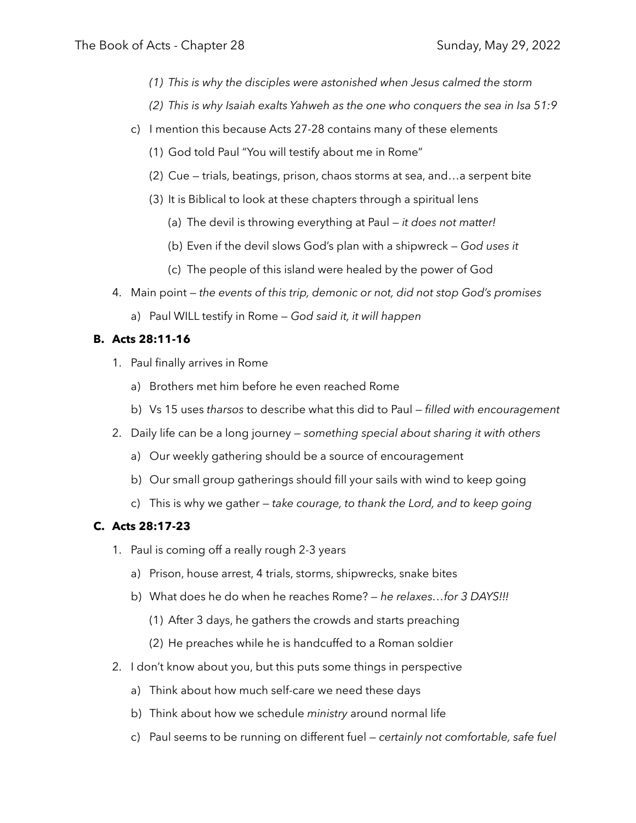- *(1) This is why the disciples were astonished when Jesus calmed the storm*
- *(2) This is why Isaiah exalts Yahweh as the one who conquers the sea in Isa 51:9*
- c) I mention this because Acts 27-28 contains many of these elements
	- (1) God told Paul "You will testify about me in Rome"
	- (2) Cue trials, beatings, prison, chaos storms at sea, and…a serpent bite
	- (3) It is Biblical to look at these chapters through a spiritual lens
		- (a) The devil is throwing everything at Paul *it does not matter!*
		- (b) Even if the devil slows God's plan with a shipwreck *God uses it*
		- (c) The people of this island were healed by the power of God
- 4. Main point *the events of this trip, demonic or not, did not stop God's promises*
	- a) Paul WILL testify in Rome *God said it, it will happen*

# **B. Acts 28:11-16**

- 1. Paul finally arrives in Rome
	- a) Brothers met him before he even reached Rome
	- b) Vs 15 uses *tharsos* to describe what this did to Paul *filled with encouragement*
- 2. Daily life can be a long journey *something special about sharing it with others*
	- a) Our weekly gathering should be a source of encouragement
	- b) Our small group gatherings should fill your sails with wind to keep going
	- c) This is why we gather *take courage, to thank the Lord, and to keep going*

# **C. Acts 28:17-23**

- 1. Paul is coming off a really rough 2-3 years
	- a) Prison, house arrest, 4 trials, storms, shipwrecks, snake bites
	- b) What does he do when he reaches Rome?  *he relaxes…for 3 DAYS!!!*
		- (1) After 3 days, he gathers the crowds and starts preaching
		- (2) He preaches while he is handcuffed to a Roman soldier
- 2. I don't know about you, but this puts some things in perspective
	- a) Think about how much self-care we need these days
	- b) Think about how we schedule *ministry* around normal life
	- c) Paul seems to be running on different fuel *certainly not comfortable, safe fuel*